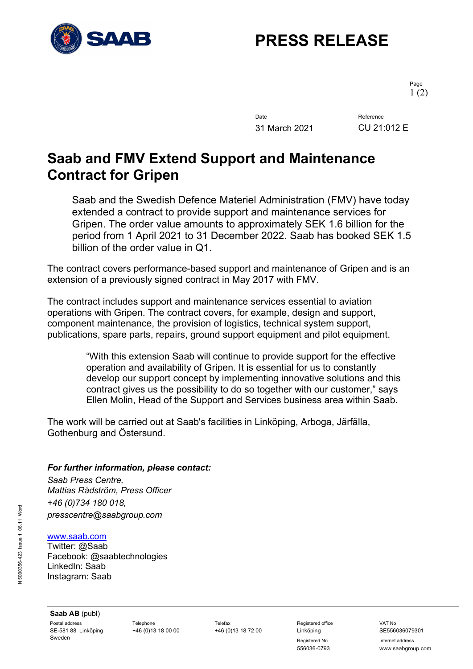

## **PRESS RELEASE**

Page 1 (2)

Date Reference 31 March 2021 CU 21:012 E

## **Saab and FMV Extend Support and Maintenance Contract for Gripen**

Saab and the Swedish Defence Materiel Administration (FMV) have today extended a contract to provide support and maintenance services for Gripen. The order value amounts to approximately SEK 1.6 billion for the period from 1 April 2021 to 31 December 2022. Saab has booked SEK 1.5 billion of the order value in Q1.

The contract covers performance-based support and maintenance of Gripen and is an extension of a previously signed contract in May 2017 with FMV.

The contract includes support and maintenance services essential to aviation operations with Gripen. The contract covers, for example, design and support, component maintenance, the provision of logistics, technical system support, publications, spare parts, repairs, ground support equipment and pilot equipment.

> "With this extension Saab will continue to provide support for the effective operation and availability of Gripen. It is essential for us to constantly develop our support concept by implementing innovative solutions and this contract gives us the possibility to do so together with our customer," says Ellen Molin, Head of the Support and Services business area within Saab.

The work will be carried out at Saab's facilities in Linköping, Arboga, Järfälla, Gothenburg and Östersund.

## *For further information, please contact:*

*Saab Press Centre, Mattias Rådström, Press Officer +46 (0)734 180 018, presscentre@saabgroup.com*

www.saab.com

Twitter: @Saab Facebook: @saabtechnologies LinkedIn: Saab Instagram: Saab

Registered No **Internet address** 556036-0793 www.saabgroup.com